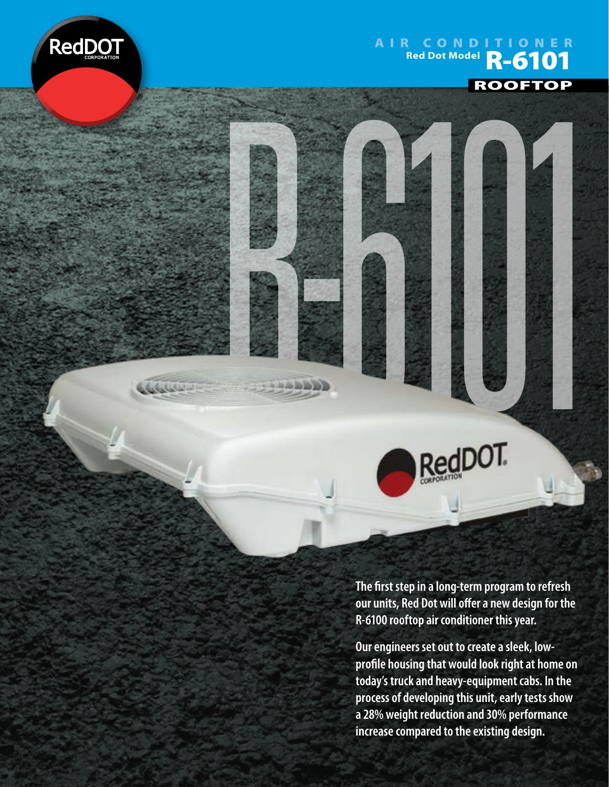

المتعاملية

## AIR CONDITIONER Red Dot Model **R-6101** ROOFTOP



**The first step in a long-term program to refresh our units, Red Dot will offer a new design for the R-6100 rooftop air conditioner this year.**

**Our engineers set out to create a sleek, lowprofile housing that would look right at home on today's truck and heavy-equipment cabs. In the process of developing this unit, early tests show a 28% weight reduction and 30% performance increase compared to the existing design.**